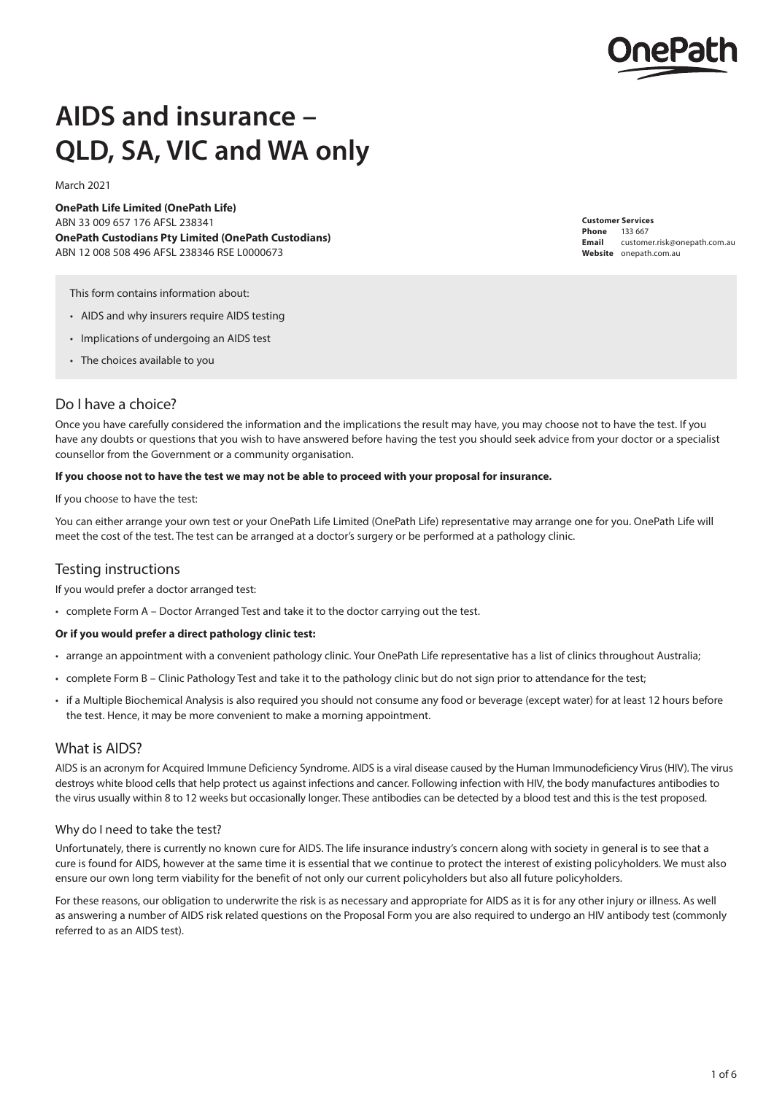

# **AIDS and insurance – QLD, SA, VIC and WA only**

March 2021

**OnePath Life Limited (OnePath Life)** ABN 33 009 657 176 AFSL 238341 **OnePath Custodians Pty Limited (OnePath Custodians)** ABN 12 008 508 496 AFSL 238346 RSE L0000673

**Customer Services Phone** 133 667 **Email** customer.risk@onepath.com.au **Website** [onepath.com.au](http://onepath.com.au)

This form contains information about:

- AIDS and why insurers require AIDS testing
- Implications of undergoing an AIDS test
- The choices available to you

## Do I have a choice?

Once you have carefully considered the information and the implications the result may have, you may choose not to have the test. If you have any doubts or questions that you wish to have answered before having the test you should seek advice from your doctor or a specialist counsellor from the Government or a community organisation.

#### **If you choose not to have the test we may not be able to proceed with your proposal for insurance.**

If you choose to have the test:

You can either arrange your own test or your OnePath Life Limited (OnePath Life) representative may arrange one for you. OnePath Life will meet the cost of the test. The test can be arranged at a doctor's surgery or be performed at a pathology clinic.

## Testing instructions

If you would prefer a doctor arranged test:

• complete Form A – Doctor Arranged Test and take it to the doctor carrying out the test.

#### **Or if you would prefer a direct pathology clinic test:**

- arrange an appointment with a convenient pathology clinic. Your OnePath Life representative has a list of clinics throughout Australia;
- complete Form B Clinic Pathology Test and take it to the pathology clinic but do not sign prior to attendance for the test;
- if a Multiple Biochemical Analysis is also required you should not consume any food or beverage (except water) for at least 12 hours before the test. Hence, it may be more convenient to make a morning appointment.

## What is AIDS?

AIDS is an acronym for Acquired Immune Deficiency Syndrome. AIDS is a viral disease caused by the Human Immunodeficiency Virus (HIV). The virus destroys white blood cells that help protect us against infections and cancer. Following infection with HIV, the body manufactures antibodies to the virus usually within 8 to 12 weeks but occasionally longer. These antibodies can be detected by a blood test and this is the test proposed.

#### Why do I need to take the test?

Unfortunately, there is currently no known cure for AIDS. The life insurance industry's concern along with society in general is to see that a cure is found for AIDS, however at the same time it is essential that we continue to protect the interest of existing policyholders. We must also ensure our own long term viability for the benefit of not only our current policyholders but also all future policyholders.

For these reasons, our obligation to underwrite the risk is as necessary and appropriate for AIDS as it is for any other injury or illness. As well as answering a number of AIDS risk related questions on the Proposal Form you are also required to undergo an HIV antibody test (commonly referred to as an AIDS test).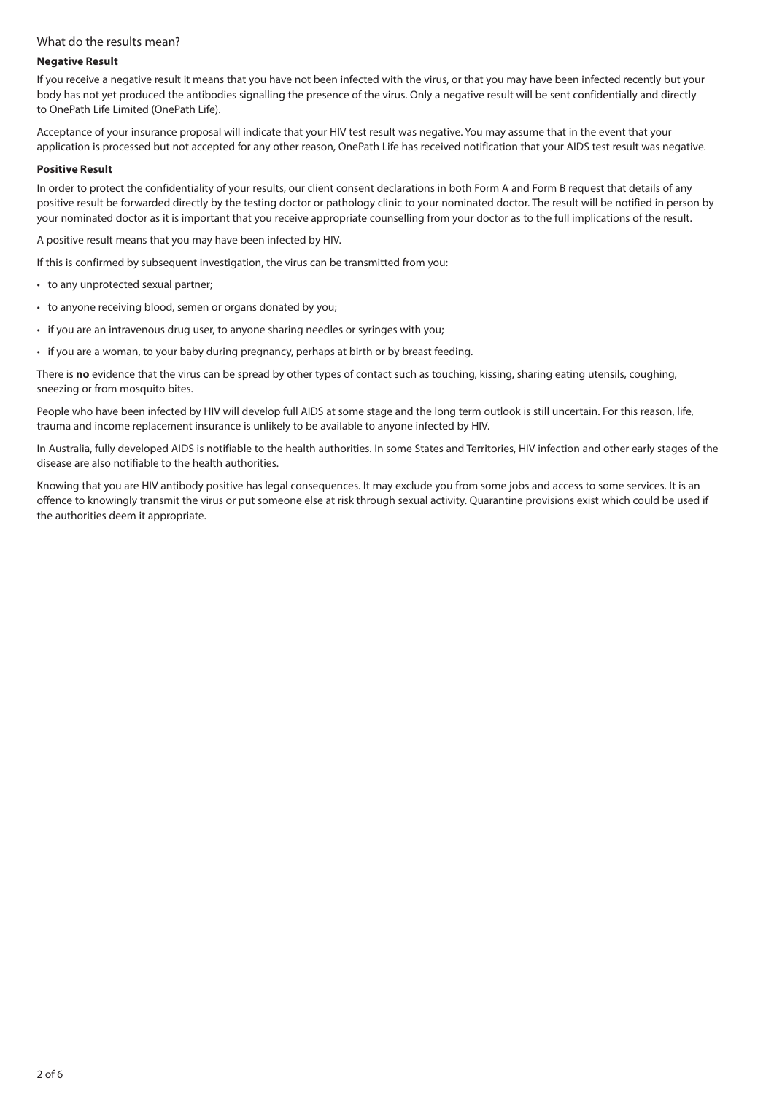## What do the results mean?

#### **Negative Result**

If you receive a negative result it means that you have not been infected with the virus, or that you may have been infected recently but your body has not yet produced the antibodies signalling the presence of the virus. Only a negative result will be sent confidentially and directly to OnePath Life Limited (OnePath Life).

Acceptance of your insurance proposal will indicate that your HIV test result was negative. You may assume that in the event that your application is processed but not accepted for any other reason, OnePath Life has received notification that your AIDS test result was negative.

#### **Positive Result**

In order to protect the confidentiality of your results, our client consent declarations in both Form A and Form B request that details of any positive result be forwarded directly by the testing doctor or pathology clinic to your nominated doctor. The result will be notified in person by your nominated doctor as it is important that you receive appropriate counselling from your doctor as to the full implications of the result.

A positive result means that you may have been infected by HIV.

If this is confirmed by subsequent investigation, the virus can be transmitted from you:

- to any unprotected sexual partner;
- to anyone receiving blood, semen or organs donated by you;
- if you are an intravenous drug user, to anyone sharing needles or syringes with you;
- if you are a woman, to your baby during pregnancy, perhaps at birth or by breast feeding.

There is **no** evidence that the virus can be spread by other types of contact such as touching, kissing, sharing eating utensils, coughing, sneezing or from mosquito bites.

People who have been infected by HIV will develop full AIDS at some stage and the long term outlook is still uncertain. For this reason, life, trauma and income replacement insurance is unlikely to be available to anyone infected by HIV.

In Australia, fully developed AIDS is notifiable to the health authorities. In some States and Territories, HIV infection and other early stages of the disease are also notifiable to the health authorities.

Knowing that you are HIV antibody positive has legal consequences. It may exclude you from some jobs and access to some services. It is an offence to knowingly transmit the virus or put someone else at risk through sexual activity. Quarantine provisions exist which could be used if the authorities deem it appropriate.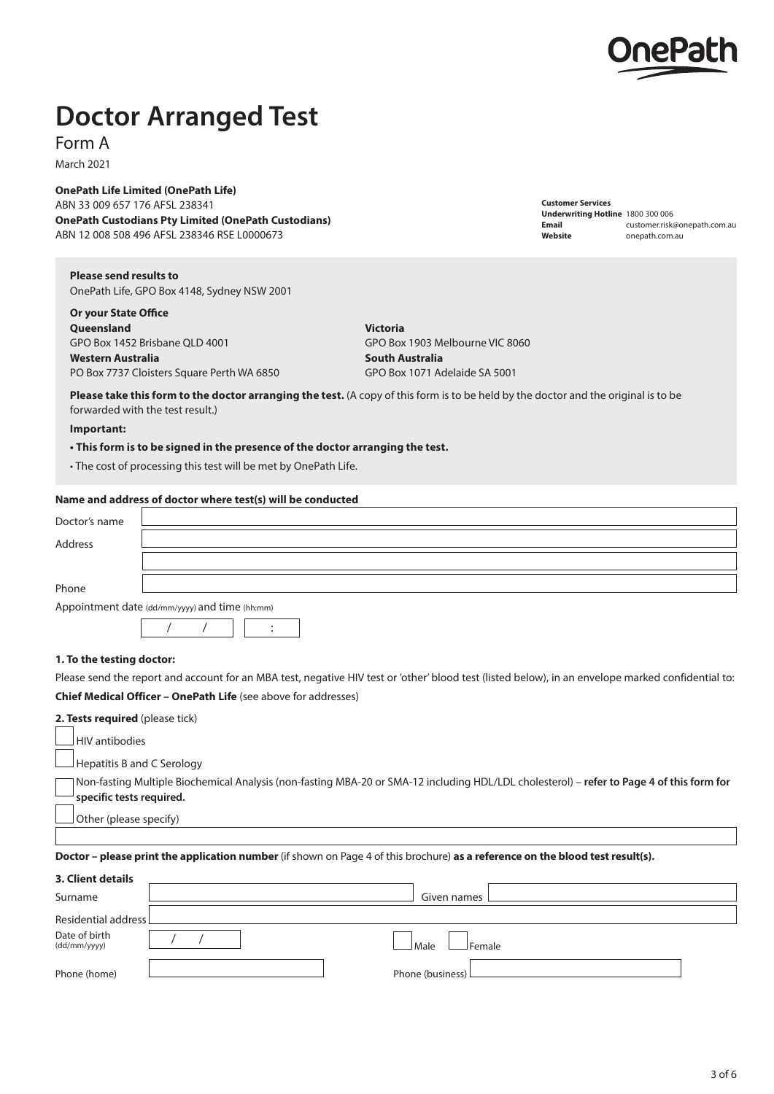

**Customer Services**

**Underwriting Hotline** 1800 300 006

**Website** [onepath.com.au](http://onepath.com.au)

**Email** customer.risk@onepath.com.au

## **Doctor Arranged Test**

Form A

March 2021

**OnePath Life Limited (OnePath Life)**

ABN 33 009 657 176 AFSL 238341 **OnePath Custodians Pty Limited (OnePath Custodians)** ABN 12 008 508 496 AFSL 238346 RSE L0000673

**Please send results to**  OnePath Life, GPO Box 4148, Sydney NSW 2001

**Or your State Office Queensland Victoria** GPO Box 1452 Brisbane QLD 4001 GPO Box 1903 Melbourne VIC 8060 **Mestern Australia South Australia South Australia** PO Box 7737 Cloisters Square Perth WA 6850 GPO Box 1071 Adelaide SA 5001

**Please take this form to the doctor arranging the test.** (A copy of this form is to be held by the doctor and the original is to be forwarded with the test result.)

### **Important:**

**• This form is to be signed in the presence of the doctor arranging the test.**

• The cost of processing this test will be met by OnePath Life.

#### **Name and address of doctor where test(s) will be conducted**

| Doctor's name |                                                |
|---------------|------------------------------------------------|
| Address       |                                                |
|               |                                                |
| Phone         |                                                |
|               | Appointment date (dd/mm/yyyy) and time (hh:mm) |
|               |                                                |
|               |                                                |

#### **1. To the testing doctor:**

Please send the report and account for an MBA test, negative HIV test or 'other' blood test (listed below), in an envelope marked confidential to: **Chief Medical Officer – OnePath Life** (see above for addresses)

| 2. Tests required (please tick)                                                                                                                                                                       |
|-------------------------------------------------------------------------------------------------------------------------------------------------------------------------------------------------------|
| $\lrcorner$ HIV antibodies                                                                                                                                                                            |
| $\Box$ Hepatitis B and C Serology                                                                                                                                                                     |
| TNon-fasting Multiple Biochemical Analysis (non-fasting MBA-20 or SMA-12 including HDL/LDL cholesterol) – refer to Page 4 of this form for<br>$^{\text{\tiny{\textsf{J}}} }$ specific tests required. |
| Other (please specify)                                                                                                                                                                                |
|                                                                                                                                                                                                       |
| Doctor – please print the application number (if shown on Page 4 of this brochure) as a reference on the blood test result(s).                                                                        |

| 3. Client details             |                    |
|-------------------------------|--------------------|
| Surname                       | Given names        |
| Residential address           |                    |
| Date of birth<br>(dd/mm/yyyy) | l Male<br>Female   |
| Phone (home)                  | Phone (business) L |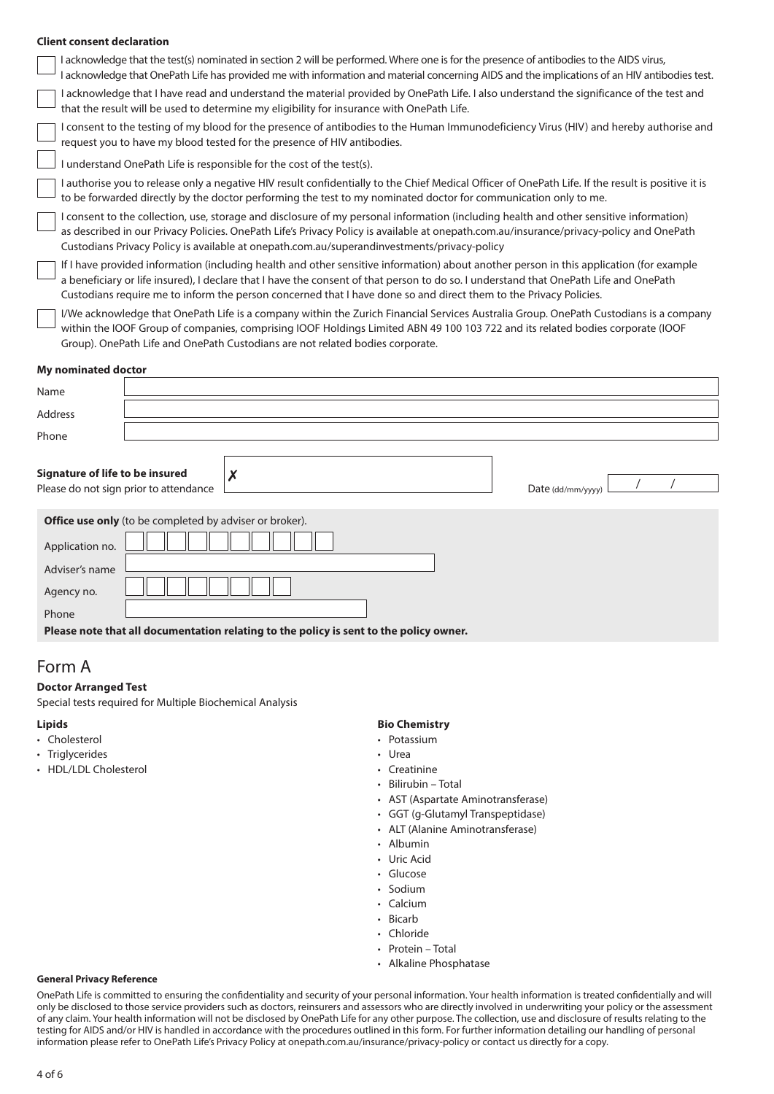#### **Client consent declaration**

 I acknowledge that the test(s) nominated in section 2 will be performed. Where one is for the presence of antibodies to the AIDS virus, I acknowledge that OnePath Life has provided me with information and material concerning AIDS and the implications of an HIV antibodies test. I acknowledge that I have read and understand the material provided by OnePath Life. I also understand the significance of the test and that the result will be used to determine my eligibility for insurance with OnePath Life. I consent to the testing of my blood for the presence of antibodies to the Human Immunodeficiency Virus (HIV) and hereby authorise and request you to have my blood tested for the presence of HIV antibodies. I understand OnePath Life is responsible for the cost of the test(s). I authorise you to release only a negative HIV result confidentially to the Chief Medical Officer of OnePath Life. If the result is positive it is to be forwarded directly by the doctor performing the test to my nominated doctor for communication only to me. I consent to the collection, use, storage and disclosure of my personal information (including health and other sensitive information) as described in our Privacy Policies. OnePath Life's Privacy Policy is available at [onepath.com.au/insurance/privacy-policy](http://onepath.com.au/insurance/privacy-policy) and OnePath Custodians Privacy Policy is available at [onepath.com.au/superandinvestments/privacy-policy](http://www.onepath.com.au/superandinvestments/privacy-policy) If I have provided information (including health and other sensitive information) about another person in this application (for example a beneficiary or life insured), I declare that I have the consent of that person to do so. I understand that OnePath Life and OnePath Custodians require me to inform the person concerned that I have done so and direct them to the Privacy Policies. I/We acknowledge that OnePath Life is a company within the Zurich Financial Services Australia Group. OnePath Custodians is a company within the IOOF Group of companies, comprising IOOF Holdings Limited ABN 49 100 103 722 and its related bodies corporate (IOOF

## **My nominated doctor**

| Name                                                                                   |                                                         |   |  |  |                   |  |
|----------------------------------------------------------------------------------------|---------------------------------------------------------|---|--|--|-------------------|--|
| Address                                                                                |                                                         |   |  |  |                   |  |
| Phone                                                                                  |                                                         |   |  |  |                   |  |
| Signature of life to be insured                                                        | Please do not sign prior to attendance                  | X |  |  | Date (dd/mm/yyyy) |  |
|                                                                                        | Office use only (to be completed by adviser or broker). |   |  |  |                   |  |
| Application no.                                                                        |                                                         |   |  |  |                   |  |
| Adviser's name                                                                         |                                                         |   |  |  |                   |  |
| Agency no.                                                                             |                                                         |   |  |  |                   |  |
| Phone                                                                                  |                                                         |   |  |  |                   |  |
| Please note that all documentation relating to the policy is sent to the policy owner. |                                                         |   |  |  |                   |  |

## Form A

#### **Doctor Arranged Test**

Special tests required for Multiple Biochemical Analysis

Group). OnePath Life and OnePath Custodians are not related bodies corporate.

#### **Lipids**

- Cholesterol
- Triglycerides
- HDL/LDL Cholesterol

#### **Bio Chemistry**

- Potassium
- Urea
- Creatinine
- Bilirubin Total
- AST (Aspartate Aminotransferase)
- GGT (g-Glutamyl Transpeptidase)
- ALT (Alanine Aminotransferase)
- Albumin
- Uric Acid
- Glucose
- **Sodium**
- Calcium
- Bicarb
- Chloride
- Protein Total
- Alkaline Phosphatase

#### **General Privacy Reference**

OnePath Life is committed to ensuring the confidentiality and security of your personal information. Your health information is treated confidentially and will only be disclosed to those service providers such as doctors, reinsurers and assessors who are directly involved in underwriting your policy or the assessment of any claim. Your health information will not be disclosed by OnePath Life for any other purpose. The collection, use and disclosure of results relating to the testing for AIDS and/or HIV is handled in accordance with the procedures outlined in this form. For further information detailing our handling of personal information please refer to OnePath Life's Privacy Policy at [onepath.com.au/insurance/privacy-policy](http://onepath.com.au/insurance/privacy-policy) or contact us directly for a copy.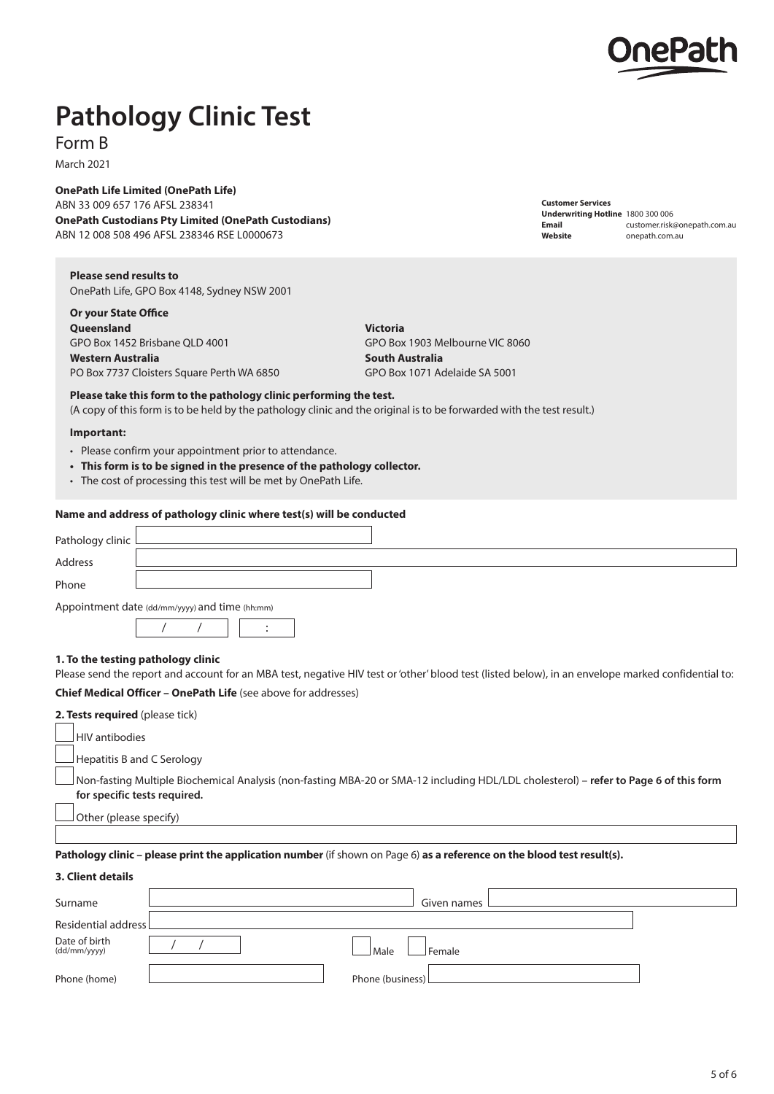

**Customer Services**

**Underwriting Hotline** 1800 300 006

**Website** [onepath.com.au](http://onepath.com.au)

**Email** customer.risk@onepath.com.au

# **Pathology Clinic Test**

Form B

March 2021

**OnePath Life Limited (OnePath Life)** ABN 33 009 657 176 AFSL 238341 **OnePath Custodians Pty Limited (OnePath Custodians)**

ABN 12 008 508 496 AFSL 238346 RSE L0000673

**Please send results to**  OnePath Life, GPO Box 4148, Sydney NSW 2001

**Or your State Office Queensland Victoria** GPO Box 1452 Brisbane QLD 4001 GPO Box 1903 Melbourne VIC 8060 **Mestern Australia South Australia South Australia** PO Box 7737 Cloisters Square Perth WA 6850 GPO Box 1071 Adelaide SA 5001

**Please take this form to the pathology clinic performing the test.**

(A copy of this form is to be held by the pathology clinic and the original is to be forwarded with the test result.)

#### **Important:**

- Please confirm your appointment prior to attendance.
- **• This form is to be signed in the presence of the pathology collector.**
- The cost of processing this test will be met by OnePath Life.

#### **Name and address of pathology clinic where test(s) will be conducted**

| Pathology clinic L                             |  |  |  |  |  |  |
|------------------------------------------------|--|--|--|--|--|--|
| <b>Address</b>                                 |  |  |  |  |  |  |
| Phone                                          |  |  |  |  |  |  |
| Appointment date (dd/mm/yyyy) and time (hh:mm) |  |  |  |  |  |  |
|                                                |  |  |  |  |  |  |
|                                                |  |  |  |  |  |  |

**1. To the testing pathology clinic**  Please send the report and account for an MBA test, negative HIV test or 'other' blood test (listed below), in an envelope marked confidential to:

#### **Chief Medical Officer – OnePath Life** (see above for addresses)

| <b>2. Tests required</b> (please tick) |                                                                                                                                                                              |  |  |  |  |
|----------------------------------------|------------------------------------------------------------------------------------------------------------------------------------------------------------------------------|--|--|--|--|
|                                        | HIV antibodies                                                                                                                                                               |  |  |  |  |
|                                        | $\Box$ Hepatitis B and C Serology                                                                                                                                            |  |  |  |  |
|                                        | Non-fasting Multiple Biochemical Analysis (non-fasting MBA-20 or SMA-12 including HDL/LDL cholesterol) – <b>refer to Page 6 of this form</b><br>for specific tests required. |  |  |  |  |
|                                        | Other (please specify)                                                                                                                                                       |  |  |  |  |
|                                        |                                                                                                                                                                              |  |  |  |  |
|                                        | <b>Pathology clinic – please print the application number</b> (if shown on Page 6) as a reference on the blood test result(s).                                               |  |  |  |  |

| 3. Client details             |                    |
|-------------------------------|--------------------|
| Surname                       | Given names        |
| Residential address L         |                    |
| Date of birth<br>(dd/mm/yyyy) | Female<br>Male     |
| Phone (home)                  | Phone (business) L |